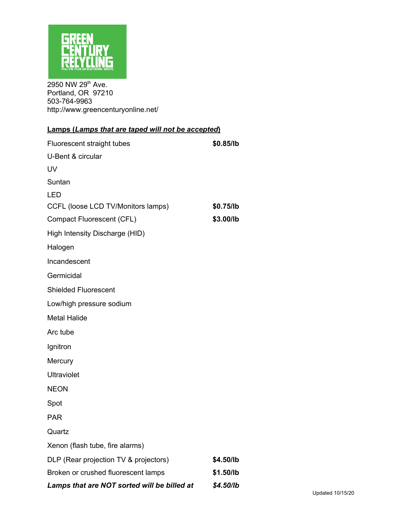

2950 NW 29<sup>th</sup> Ave. Portland, OR 97210 503-764-9963 http://www.greencenturyonline.net/

| <b>Lamps (Lamps that are taped will not be accepted)</b> |           |  |
|----------------------------------------------------------|-----------|--|
| Fluorescent straight tubes                               | \$0.85/lb |  |
| U-Bent & circular                                        |           |  |
| UV                                                       |           |  |
| Suntan                                                   |           |  |
| <b>LED</b>                                               |           |  |
| CCFL (loose LCD TV/Monitors lamps)                       | \$0.75/lb |  |
| <b>Compact Fluorescent (CFL)</b>                         | \$3.00/lb |  |
| High Intensity Discharge (HID)                           |           |  |
| Halogen                                                  |           |  |
| Incandescent                                             |           |  |
| Germicidal                                               |           |  |
| <b>Shielded Fluorescent</b>                              |           |  |
| Low/high pressure sodium                                 |           |  |
| <b>Metal Halide</b>                                      |           |  |
| Arc tube                                                 |           |  |
| Ignitron                                                 |           |  |
| Mercury                                                  |           |  |
| <b>Ultraviolet</b>                                       |           |  |
| <b>NEON</b>                                              |           |  |
| Spot                                                     |           |  |
| <b>PAR</b>                                               |           |  |
| Quartz                                                   |           |  |
| Xenon (flash tube, fire alarms)                          |           |  |
| DLP (Rear projection TV & projectors)                    | \$4.50/lb |  |
| Broken or crushed fluorescent lamps                      | \$1.50/lb |  |
| Lamps that are NOT sorted will be billed at              | \$4.50/lb |  |